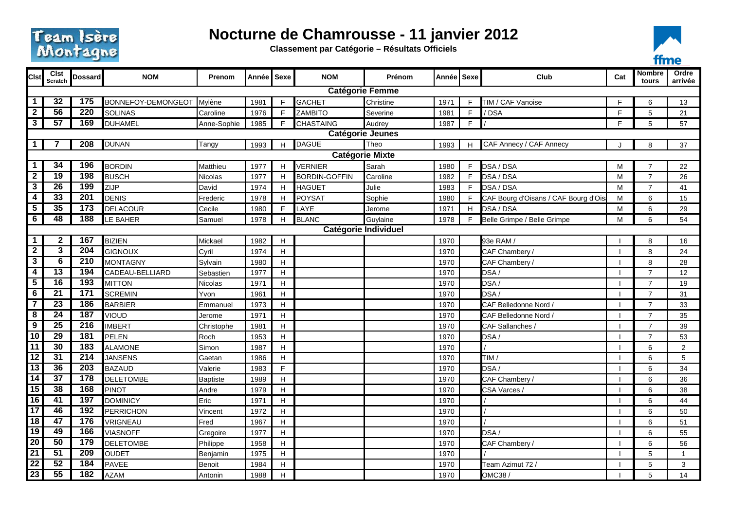

## **Nocturne de Chamrousse - 11 janvier 2012**

**Classement par Catégorie – Résultats Officiels**



|                         |                         |                  |                           |                |              |                |                      |           |              |             |                                      |     |                        | -------          |
|-------------------------|-------------------------|------------------|---------------------------|----------------|--------------|----------------|----------------------|-----------|--------------|-------------|--------------------------------------|-----|------------------------|------------------|
| Cist                    | <b>Clst</b><br>Scratch  | <b>Dossard</b>   | <b>NOM</b>                | Prenom         | Année   Sexe |                | <b>NOM</b>           | Prénom    | Année   Sexe |             | Club                                 | Cat | <b>Nombre</b><br>tours | Ordre<br>arrivée |
| <b>Catégorie Femme</b>  |                         |                  |                           |                |              |                |                      |           |              |             |                                      |     |                        |                  |
| $\mathbf{1}$            | 32                      | 175              | BONNEFOY-DEMONGEOT Mylène |                | 1981         | $\mathsf{F}$   | <b>GACHET</b>        | Christine | 1971         | F           | TIM / CAF Vanoise                    | F   | 6                      | 13               |
| $\mathbf{2}$            | 56                      | $\overline{220}$ | <b>SOLINAS</b>            | Caroline       | 1976         | $\mathsf F$    | <b>ZAMBITO</b>       | Severine  | 1981         | $\mathsf F$ | /DSA                                 | F   | 5                      | 21               |
| 3                       | 57                      | 169              | <b>DUHAMEL</b>            | Anne-Sophie    | 1985         | F              | <b>CHASTAING</b>     | Audrey    | 1987         | E           |                                      | E   | 5                      | 57               |
|                         | <b>Catégorie Jeunes</b> |                  |                           |                |              |                |                      |           |              |             |                                      |     |                        |                  |
| $\mathbf 1$             |                         | 208              | <b>DUNAN</b>              | Tangy          | 1993         | H              | <b>DAGUE</b>         | Theo      | 1993         | H           | CAF Annecy / CAF Annecy              |     | 8                      | 37               |
| <b>Catégorie Mixte</b>  |                         |                  |                           |                |              |                |                      |           |              |             |                                      |     |                        |                  |
| $\mathbf{1}$            | 34                      | 196              | <b>BORDIN</b>             | Matthieu       | 1977         | H              | <b>VERNIER</b>       | Sarah     | 1980         | F           | DSA / DSA                            | M   | $\overline{7}$         | 22               |
| $\overline{2}$          | $\overline{19}$         | 198              | <b>BUSCH</b>              | <b>Nicolas</b> | 1977         | H              | <b>BORDIN-GOFFIN</b> | Caroline  | 1982         | F           | DSA / DSA                            | M   | $\overline{7}$         | 26               |
| $\mathbf{3}$            | $\overline{26}$         | 199              | ZIJP                      | David          | 1974         | H              | <b>HAGUET</b>        | Julie     | 1983         | F           | DSA / DSA                            | M   | $\overline{7}$         | 41               |
| $\boldsymbol{4}$        | $\overline{33}$         | 201              | <b>DENIS</b>              | Frederic       | 1978         | H              | POYSAT               | Sophie    | 1980         | F           | CAF Bourg d'Oisans / CAF Bourg d'Ois | M   | 6                      | 15               |
| $\overline{5}$          | 35                      | 173              | <b>DELACOUR</b>           | Cecile         | 1980         | F              | LAYE                 | Jerome    | 1971         | H           | DSA / DSA                            | M   | 6                      | 29               |
| 6                       | 48                      | 188              | LE BAHER                  | Samuel         | 1978         | H              | <b>BLANC</b>         | Guylaine  | 1978         | F.          | Belle Grimpe / Belle Grimpe          | M   | 6                      | 54               |
| Catégorie Individuel    |                         |                  |                           |                |              |                |                      |           |              |             |                                      |     |                        |                  |
| $\mathbf 1$             | $\mathbf{2}$            | 167              | <b>BIZIEN</b>             | Mickael        | 1982         | H              |                      |           | 1970         |             | 93e RAM /                            |     | 8                      | 16               |
| $\overline{2}$          | 3                       | 204              | <b>GIGNOUX</b>            | Cyril          | 1974         | $\mathsf{H}%$  |                      |           | 1970         |             | CAF Chambery /                       |     | 8                      | 24               |
| $\overline{\mathbf{3}}$ | $6\overline{6}$         | 210              | MONTAGNY                  | Sylvain        | 1980         | H              |                      |           | 1970         |             | CAF Chambery /                       |     | 8                      | 28               |
| 4                       | 13                      | 194              | CADEAU-BELLIARD           | Sebastien      | 1977         | H              |                      |           | 1970         |             | DSA/                                 |     | $\overline{7}$         | 12               |
| 5                       | 16                      | 193              | <b>MITTON</b>             | <b>Nicolas</b> | 1971         | H              |                      |           | 1970         |             | DSA/                                 |     | $\overline{7}$         | 19               |
| 6                       | $\overline{21}$         | $\overline{171}$ | <b>SCREMIN</b>            | Yvon           | 1961         | H              |                      |           | 1970         |             | DSA/                                 |     | $\overline{7}$         | 31               |
| $\overline{7}$          | $\overline{23}$         | 186              | <b>BARBIER</b>            | Emmanuel       | 1973         | H              |                      |           | 1970         |             | CAF Belledonne Nord /                |     | $\overline{7}$         | 33               |
| $\overline{\mathbf{8}}$ | $\overline{24}$         | 187              | VIOUD                     | Jerome         | 1971         | H              |                      |           | 1970         |             | CAF Belledonne Nord /                |     | $\overline{7}$         | 35               |
| $\overline{9}$          | $\overline{25}$         | $\overline{216}$ | <b>IMBERT</b>             | Christophe     | 1981         | H              |                      |           | 1970         |             | CAF Sallanches /                     |     | $\overline{7}$         | 39               |
| 10                      | $\overline{29}$         | 181              | PELEN                     | Roch           | 1953         | H              |                      |           | 1970         |             | DSA/                                 |     | $\overline{7}$         | 53               |
| $\overline{11}$         | 30                      | 183              | <b>ALAMONE</b>            | Simon          | 1987         | H              |                      |           | 1970         |             |                                      |     | 6                      | $\overline{2}$   |
| $\overline{12}$         | $\overline{31}$         | $\overline{214}$ | <b>JANSENS</b>            | Gaetan         | 1986         | H              |                      |           | 1970         |             | TIM/                                 |     | 6                      | 5                |
| 13                      | 36                      | 203              | <b>BAZAUD</b>             | Valerie        | 1983         | F              |                      |           | 1970         |             | DSA/                                 |     | 6                      | 34               |
| $\overline{14}$         | $\overline{37}$         | 178              | <b>DELETOMBE</b>          | Baptiste       | 1989         | H              |                      |           | 1970         |             | CAF Chambery /                       |     | 6                      | 36               |
| 15                      | 38                      | 168              | PINOT                     | Andre          | 1979         | H              |                      |           | 1970         |             | SA Varces                            |     | 6                      | 38               |
| $\overline{16}$         | $\overline{41}$         | 197              | <b>DOMINICY</b>           | Eric           | 1971         | H              |                      |           | 1970         |             |                                      |     | 6                      | 44               |
| $\overline{17}$         | 46                      | 192              | <b>PERRICHON</b>          | Vincent        | 1972         | H              |                      |           | 1970         |             |                                      |     | 6                      | 50               |
| 18                      | $\overline{47}$         | 176              | VRIGNEAU                  | Fred           | 1967         | H              |                      |           | 1970         |             |                                      |     | 6                      | 51               |
| $\overline{19}$         | 49                      | 166              | <b>VIASNOFF</b>           | Gregoire       | 1977         | H              |                      |           | 1970         |             | DSA/                                 |     | 6                      | 55               |
| $\overline{20}$         | 50                      | 179              | <b>DELETOMBE</b>          | Philippe       | 1958         | H              |                      |           | 1970         |             | CAF Chambery/                        |     | 6                      | 56               |
| $\overline{21}$         | 51                      | 209              | <b>OUDET</b>              | Benjamin       | 1975         | H              |                      |           | 1970         |             |                                      |     | 5                      | $\mathbf{1}$     |
| $\overline{22}$         | $\overline{52}$         | 184              | PAVEE                     | Benoit         | 1984         | H              |                      |           | 1970         |             | Team Azimut 72                       |     | 5                      | 3                |
| $\overline{23}$         | $\overline{55}$         | 182              | <b>AZAM</b>               | Antonin        | 1988         | $\overline{H}$ |                      |           | 1970         |             | OMC38/                               |     | 5                      | 14               |